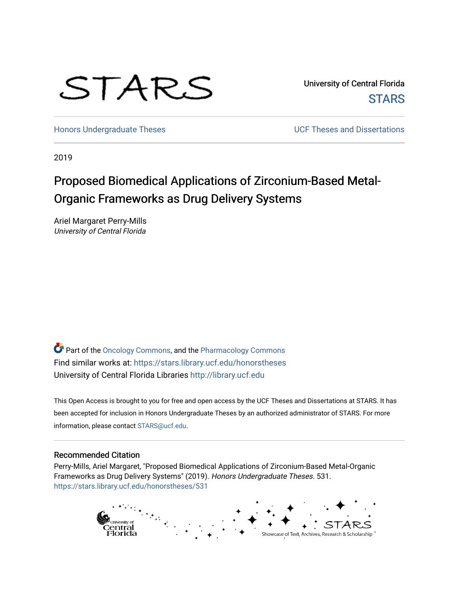# STARS

University of Central Florida **STARS** 

[Honors Undergraduate Theses](https://stars.library.ucf.edu/honorstheses) **No. 2018** UCF Theses and Dissertations

2019

# Proposed Biomedical Applications of Zirconium-Based Metal-Organic Frameworks as Drug Delivery Systems

Ariel Margaret Perry-Mills University of Central Florida

Part of the [Oncology Commons,](http://network.bepress.com/hgg/discipline/694?utm_source=stars.library.ucf.edu%2Fhonorstheses%2F531&utm_medium=PDF&utm_campaign=PDFCoverPages) and the [Pharmacology Commons](http://network.bepress.com/hgg/discipline/66?utm_source=stars.library.ucf.edu%2Fhonorstheses%2F531&utm_medium=PDF&utm_campaign=PDFCoverPages)  Find similar works at: <https://stars.library.ucf.edu/honorstheses> University of Central Florida Libraries [http://library.ucf.edu](http://library.ucf.edu/) 

This Open Access is brought to you for free and open access by the UCF Theses and Dissertations at STARS. It has been accepted for inclusion in Honors Undergraduate Theses by an authorized administrator of STARS. For more information, please contact [STARS@ucf.edu.](mailto:STARS@ucf.edu)

#### Recommended Citation

Perry-Mills, Ariel Margaret, "Proposed Biomedical Applications of Zirconium-Based Metal-Organic Frameworks as Drug Delivery Systems" (2019). Honors Undergraduate Theses. 531. [https://stars.library.ucf.edu/honorstheses/531](https://stars.library.ucf.edu/honorstheses/531?utm_source=stars.library.ucf.edu%2Fhonorstheses%2F531&utm_medium=PDF&utm_campaign=PDFCoverPages) 

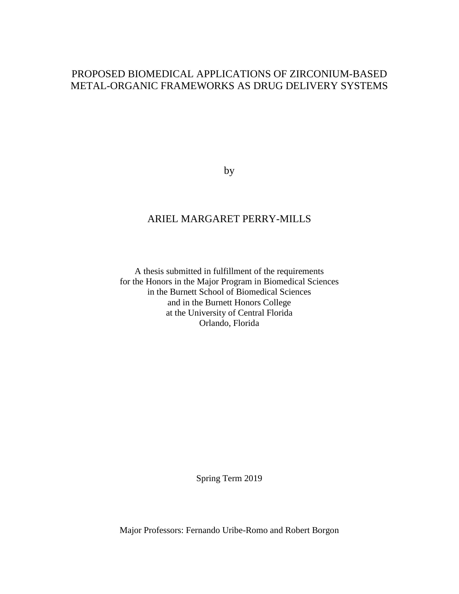# PROPOSED BIOMEDICAL APPLICATIONS OF ZIRCONIUM-BASED METAL-ORGANIC FRAMEWORKS AS DRUG DELIVERY SYSTEMS

by

### ARIEL MARGARET PERRY-MILLS

A thesis submitted in fulfillment of the requirements for the Honors in the Major Program in Biomedical Sciences in the Burnett School of Biomedical Sciences and in the Burnett Honors College at the University of Central Florida Orlando, Florida

Spring Term 2019

Major Professors: Fernando Uribe-Romo and Robert Borgon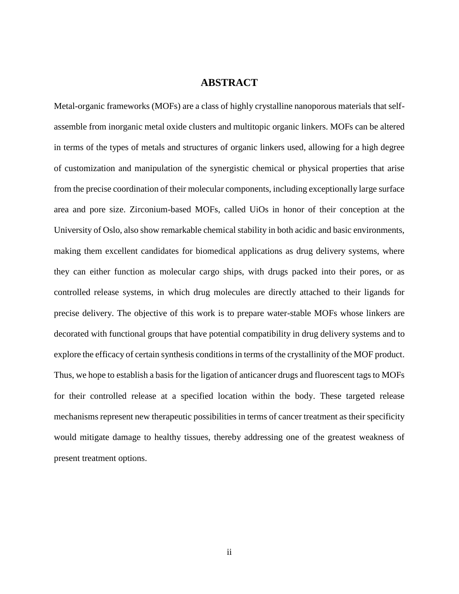#### **ABSTRACT**

Metal-organic frameworks (MOFs) are a class of highly crystalline nanoporous materials that selfassemble from inorganic metal oxide clusters and multitopic organic linkers. MOFs can be altered in terms of the types of metals and structures of organic linkers used, allowing for a high degree of customization and manipulation of the synergistic chemical or physical properties that arise from the precise coordination of their molecular components, including exceptionally large surface area and pore size. Zirconium-based MOFs, called UiOs in honor of their conception at the University of Oslo, also show remarkable chemical stability in both acidic and basic environments, making them excellent candidates for biomedical applications as drug delivery systems, where they can either function as molecular cargo ships, with drugs packed into their pores, or as controlled release systems, in which drug molecules are directly attached to their ligands for precise delivery. The objective of this work is to prepare water-stable MOFs whose linkers are decorated with functional groups that have potential compatibility in drug delivery systems and to explore the efficacy of certain synthesis conditions in terms of the crystallinity of the MOF product. Thus, we hope to establish a basis for the ligation of anticancer drugs and fluorescent tags to MOFs for their controlled release at a specified location within the body. These targeted release mechanisms represent new therapeutic possibilities in terms of cancer treatment as their specificity would mitigate damage to healthy tissues, thereby addressing one of the greatest weakness of present treatment options.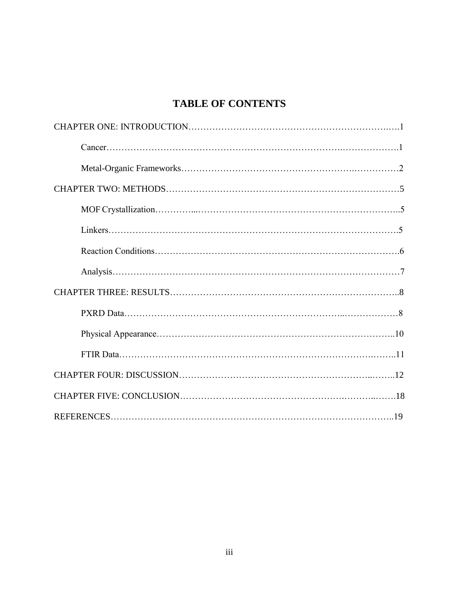# **TABLE OF CONTENTS**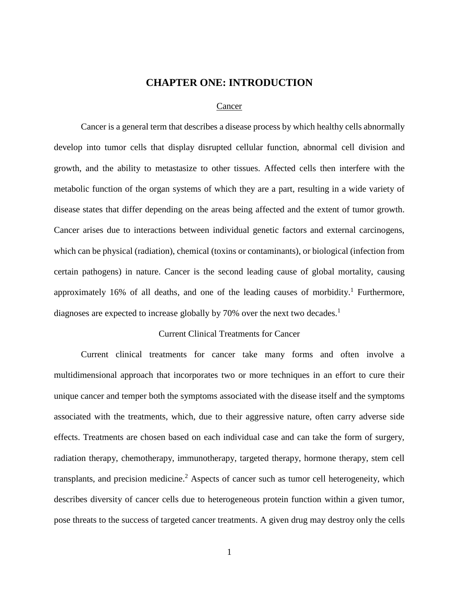#### **CHAPTER ONE: INTRODUCTION**

#### Cancer

<span id="page-4-0"></span>Cancer is a general term that describes a disease process by which healthy cells abnormally develop into tumor cells that display disrupted cellular function, abnormal cell division and growth, and the ability to metastasize to other tissues. Affected cells then interfere with the metabolic function of the organ systems of which they are a part, resulting in a wide variety of disease states that differ depending on the areas being affected and the extent of tumor growth. Cancer arises due to interactions between individual genetic factors and external carcinogens, which can be physical (radiation), chemical (toxins or contaminants), or biological (infection from certain pathogens) in nature. Cancer is the second leading cause of global mortality, causing approximately 16% of all deaths, and one of the leading causes of morbidity.<sup>1</sup> Furthermore, diagnoses are expected to increase globally by 70% over the next two decades.<sup>1</sup>

#### Current Clinical Treatments for Cancer

Current clinical treatments for cancer take many forms and often involve a multidimensional approach that incorporates two or more techniques in an effort to cure their unique cancer and temper both the symptoms associated with the disease itself and the symptoms associated with the treatments, which, due to their aggressive nature, often carry adverse side effects. Treatments are chosen based on each individual case and can take the form of surgery, radiation therapy, chemotherapy, immunotherapy, targeted therapy, hormone therapy, stem cell transplants, and precision medicine. <sup>2</sup> Aspects of cancer such as tumor cell heterogeneity, which describes diversity of cancer cells due to heterogeneous protein function within a given tumor, pose threats to the success of targeted cancer treatments. A given drug may destroy only the cells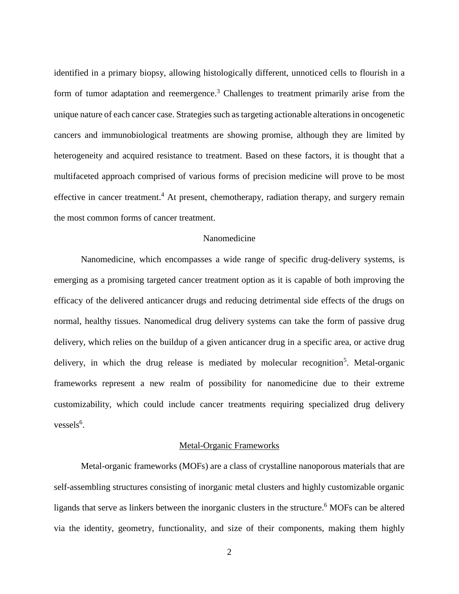identified in a primary biopsy, allowing histologically different, unnoticed cells to flourish in a form of tumor adaptation and reemergence.<sup>3</sup> Challenges to treatment primarily arise from the unique nature of each cancer case. Strategies such as targeting actionable alterations in oncogenetic cancers and immunobiological treatments are showing promise, although they are limited by heterogeneity and acquired resistance to treatment. Based on these factors, it is thought that a multifaceted approach comprised of various forms of precision medicine will prove to be most effective in cancer treatment.<sup>4</sup> At present, chemotherapy, radiation therapy, and surgery remain the most common forms of cancer treatment.

#### Nanomedicine

Nanomedicine, which encompasses a wide range of specific drug-delivery systems, is emerging as a promising targeted cancer treatment option as it is capable of both improving the efficacy of the delivered anticancer drugs and reducing detrimental side effects of the drugs on normal, healthy tissues. Nanomedical drug delivery systems can take the form of passive drug delivery, which relies on the buildup of a given anticancer drug in a specific area, or active drug delivery, in which the drug release is mediated by molecular recognition<sup>5</sup>. Metal-organic frameworks represent a new realm of possibility for nanomedicine due to their extreme customizability, which could include cancer treatments requiring specialized drug delivery vessels<sup>6</sup>.

#### Metal-Organic Frameworks

Metal-organic frameworks (MOFs) are a class of crystalline nanoporous materials that are self-assembling structures consisting of inorganic metal clusters and highly customizable organic ligands that serve as linkers between the inorganic clusters in the structure. <sup>6</sup> MOFs can be altered via the identity, geometry, functionality, and size of their components, making them highly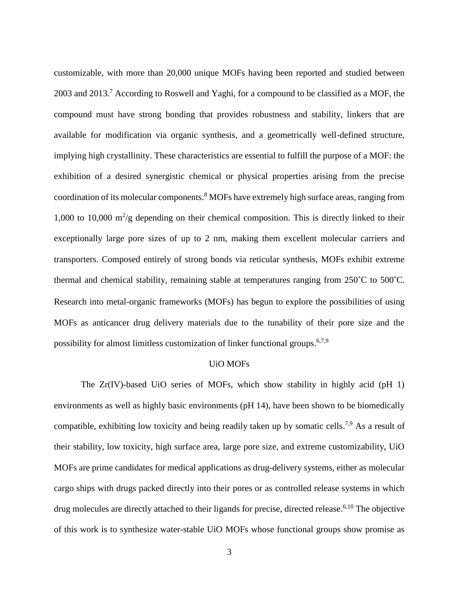customizable, with more than 20,000 unique MOFs having been reported and studied between 2003 and 2013.<sup>7</sup> According to Roswell and Yaghi, for a compound to be classified as a MOF, the compound must have strong bonding that provides robustness and stability, linkers that are available for modification via organic synthesis, and a geometrically well-defined structure, implying high crystallinity. These characteristics are essential to fulfill the purpose of a MOF: the exhibition of a desired synergistic chemical or physical properties arising from the precise coordination of its molecular components. <sup>8</sup> MOFs have extremely high surface areas, ranging from 1,000 to 10,000  $m^2/g$  depending on their chemical composition. This is directly linked to their exceptionally large pore sizes of up to 2 nm, making them excellent molecular carriers and transporters. Composed entirely of strong bonds via reticular synthesis, MOFs exhibit extreme thermal and chemical stability, remaining stable at temperatures ranging from 250˚C to 500˚C. Research into metal-organic frameworks (MOFs) has begun to explore the possibilities of using MOFs as anticancer drug delivery materials due to the tunability of their pore size and the possibility for almost limitless customization of linker functional groups.<sup>6,7,9</sup>

#### UiO MOFs

The Zr(IV)-based UiO series of MOFs, which show stability in highly acid (pH 1) environments as well as highly basic environments (pH 14), have been shown to be biomedically compatible, exhibiting low toxicity and being readily taken up by somatic cells.<sup>7,9</sup> As a result of their stability, low toxicity, high surface area, large pore size, and extreme customizability, UiO MOFs are prime candidates for medical applications as drug-delivery systems, either as molecular cargo ships with drugs packed directly into their pores or as controlled release systems in which drug molecules are directly attached to their ligands for precise, directed release. 6,10 The objective of this work is to synthesize water-stable UiO MOFs whose functional groups show promise as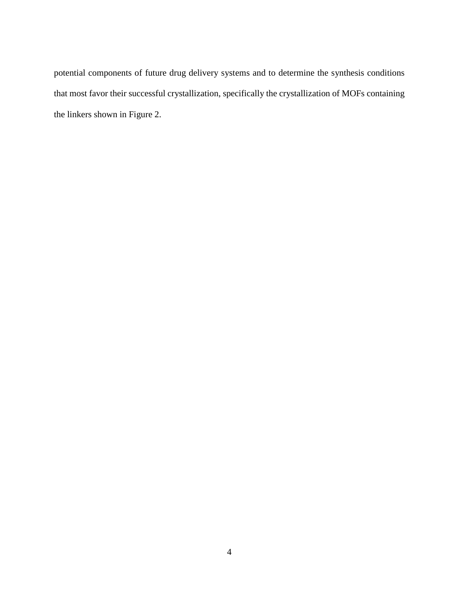potential components of future drug delivery systems and to determine the synthesis conditions that most favor their successful crystallization, specifically the crystallization of MOFs containing the linkers shown in Figure 2.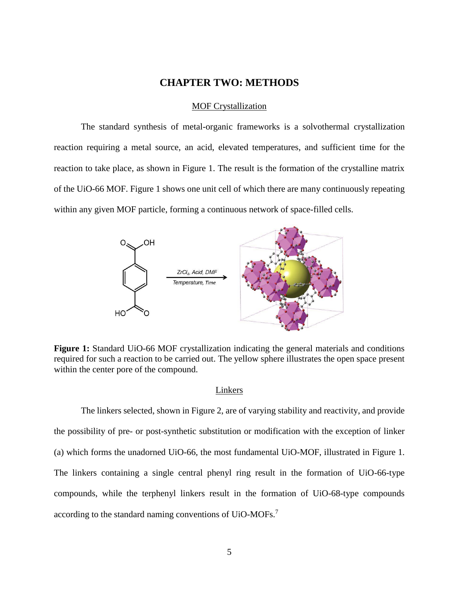#### **CHAPTER TWO: METHODS**

#### MOF Crystallization

<span id="page-8-0"></span>The standard synthesis of metal-organic frameworks is a solvothermal crystallization reaction requiring a metal source, an acid, elevated temperatures, and sufficient time for the reaction to take place, as shown in Figure 1. The result is the formation of the crystalline matrix of the UiO-66 MOF. Figure 1 shows one unit cell of which there are many continuously repeating within any given MOF particle, forming a continuous network of space-filled cells.



**Figure 1:** Standard UiO-66 MOF crystallization indicating the general materials and conditions required for such a reaction to be carried out. The yellow sphere illustrates the open space present within the center pore of the compound.

#### Linkers

The linkers selected, shown in Figure 2, are of varying stability and reactivity, and provide the possibility of pre- or post-synthetic substitution or modification with the exception of linker (a) which forms the unadorned UiO-66, the most fundamental UiO-MOF, illustrated in Figure 1. The linkers containing a single central phenyl ring result in the formation of UiO-66-type compounds, while the terphenyl linkers result in the formation of UiO-68-type compounds according to the standard naming conventions of UiO-MOFs.<sup>7</sup>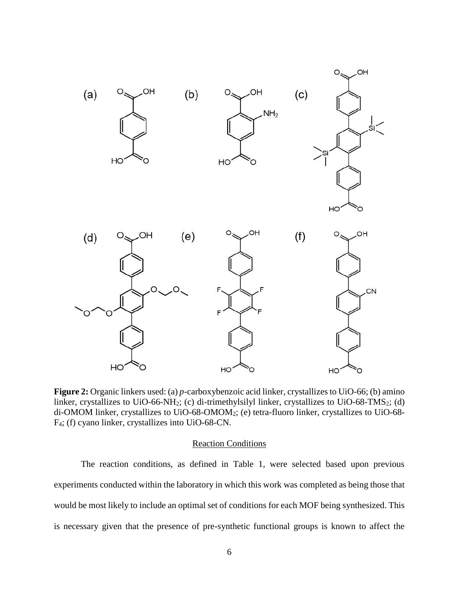

**Figure 2:** Organic linkers used: (a) *p*-carboxybenzoic acid linker, crystallizes to UiO-66; (b) amino linker, crystallizes to UiO-66-NH<sub>2</sub>; (c) di-trimethylsilyl linker, crystallizes to UiO-68-TMS<sub>2</sub>; (d) di-OMOM linker, crystallizes to UiO-68-OMOM2; (e) tetra-fluoro linker, crystallizes to UiO-68- F4; (f) cyano linker, crystallizes into UiO-68-CN.

#### Reaction Conditions

The reaction conditions, as defined in Table 1, were selected based upon previous experiments conducted within the laboratory in which this work was completed as being those that would be most likely to include an optimal set of conditions for each MOF being synthesized. This is necessary given that the presence of pre-synthetic functional groups is known to affect the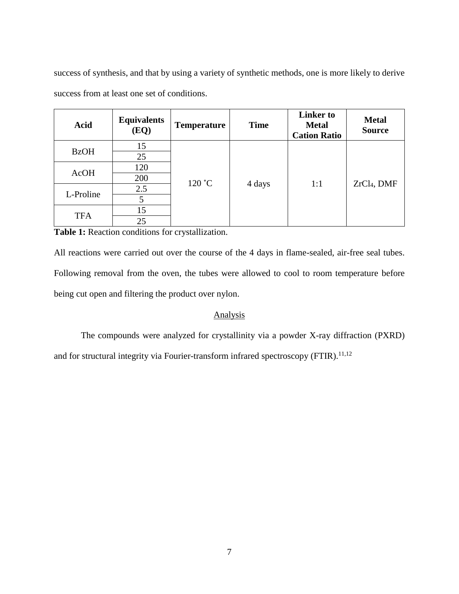success of synthesis, and that by using a variety of synthetic methods, one is more likely to derive success from at least one set of conditions.

| Acid        | <b>Equivalents</b><br>(EQ) | <b>Temperature</b> | <b>Time</b> | <b>Linker</b> to<br><b>Metal</b><br><b>Cation Ratio</b> | <b>Metal</b><br><b>Source</b> |
|-------------|----------------------------|--------------------|-------------|---------------------------------------------------------|-------------------------------|
| <b>BzOH</b> | 15                         | 120 °C             | 4 days      | 1:1                                                     | $ZrCl4$ , DMF                 |
|             | 25                         |                    |             |                                                         |                               |
| <b>AcOH</b> | 120                        |                    |             |                                                         |                               |
|             | 200                        |                    |             |                                                         |                               |
| L-Proline   | 2.5                        |                    |             |                                                         |                               |
|             |                            |                    |             |                                                         |                               |
| <b>TFA</b>  | 15                         |                    |             |                                                         |                               |
|             | 25                         |                    |             |                                                         |                               |

**Table 1:** Reaction conditions for crystallization.

All reactions were carried out over the course of the 4 days in flame-sealed, air-free seal tubes. Following removal from the oven, the tubes were allowed to cool to room temperature before being cut open and filtering the product over nylon.

#### Analysis

The compounds were analyzed for crystallinity via a powder X-ray diffraction (PXRD) and for structural integrity via Fourier-transform infrared spectroscopy (FTIR).<sup>11,12</sup>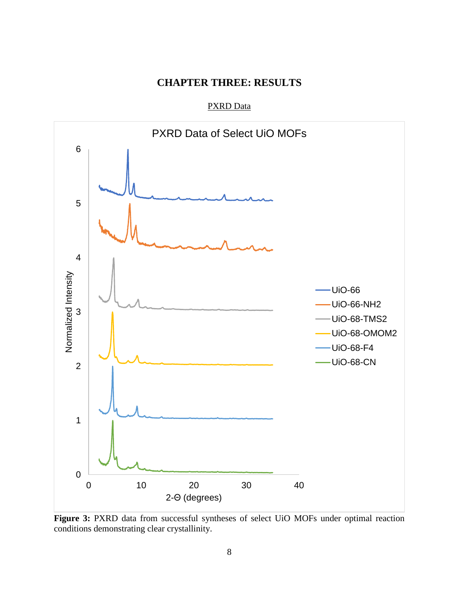# **CHAPTER THREE: RESULTS**

PXRD Data

<span id="page-11-0"></span>

**Figure 3:** PXRD data from successful syntheses of select UiO MOFs under optimal reaction conditions demonstrating clear crystallinity.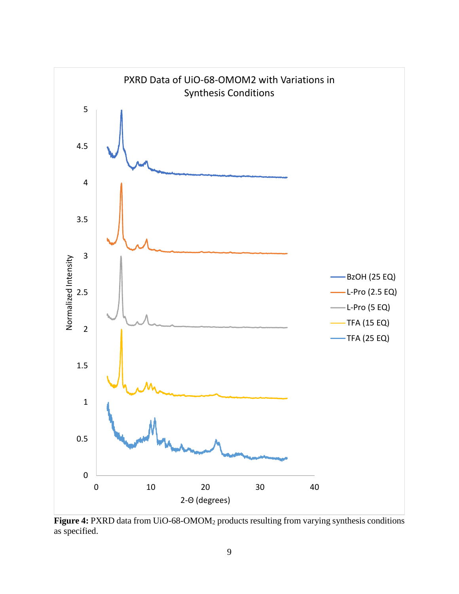

Figure 4: PXRD data from UiO-68-OMOM<sub>2</sub> products resulting from varying synthesis conditions as specified.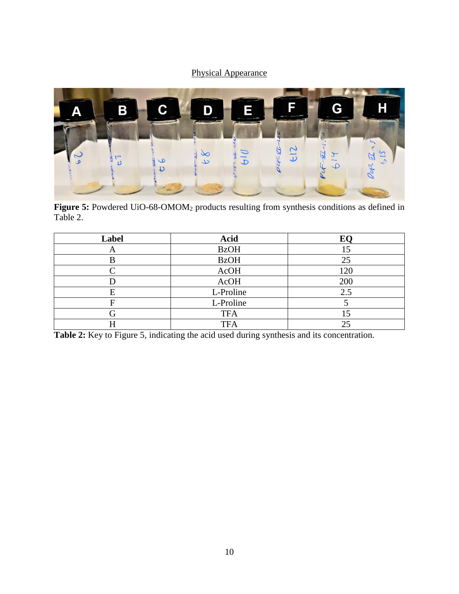## Physical Appearance



Figure 5: Powdered UiO-68-OMOM<sub>2</sub> products resulting from synthesis conditions as defined in Table 2.

| Label | <b>Acid</b> | EC) |
|-------|-------------|-----|
| A     | <b>BzOH</b> |     |
| ĸ     | <b>BzOH</b> | 25  |
|       | AcOH        | 120 |
|       | AcOH        | 200 |
| F     | L-Proline   | 2.5 |
|       | L-Proline   |     |
|       | <b>TFA</b>  |     |
|       | <b>TFA</b>  | 25  |

Table 2: Key to Figure 5, indicating the acid used during synthesis and its concentration.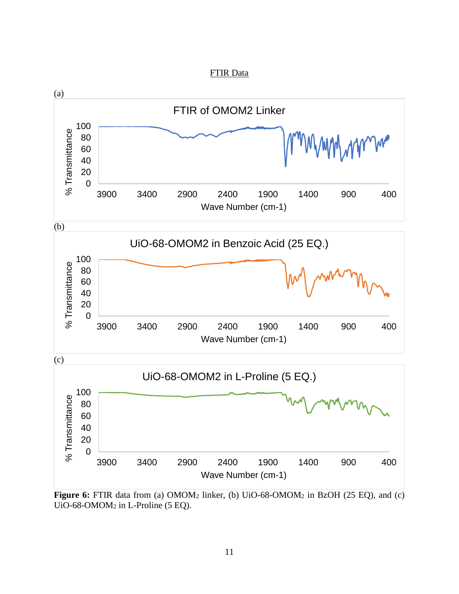



**Figure 6:** FTIR data from (a) OMOM<sub>2</sub> linker, (b) UiO-68-OMOM<sub>2</sub> in BzOH (25 EQ), and (c) UiO-68-OMOM<sup>2</sup> in L-Proline (5 EQ).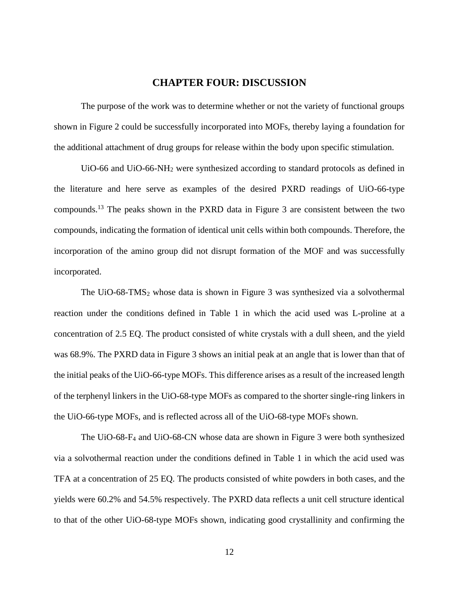#### <span id="page-15-1"></span>**CHAPTER FOUR: DISCUSSION**

<span id="page-15-0"></span>The purpose of the work was to determine whether or not the variety of functional groups shown in Figure 2 could be successfully incorporated into MOFs, thereby laying a foundation for the additional attachment of drug groups for release within the body upon specific stimulation.

UiO-66 and UiO-66-NH<sub>2</sub> were synthesized according to standard protocols as defined in the literature and here serve as examples of the desired PXRD readings of UiO-66-type compounds.<sup>13</sup> The peaks shown in the PXRD data in Figure 3 are consistent between the two compounds, indicating the formation of identical unit cells within both compounds. Therefore, the incorporation of the amino group did not disrupt formation of the MOF and was successfully incorporated.

The UiO-68-TMS<sub>2</sub> whose data is shown in Figure 3 was synthesized via a solvothermal reaction under the conditions defined in Table 1 in which the acid used was L-proline at a concentration of 2.5 EQ. The product consisted of white crystals with a dull sheen, and the yield was 68.9%. The PXRD data in Figure 3 shows an initial peak at an angle that is lower than that of the initial peaks of the UiO-66-type MOFs. This difference arises as a result of the increased length of the terphenyl linkers in the UiO-68-type MOFs as compared to the shorter single-ring linkers in the UiO-66-type MOFs, and is reflected across all of the UiO-68-type MOFs shown.

The UiO-68-F<sup>4</sup> and UiO-68-CN whose data are shown in Figure 3 were both synthesized via a solvothermal reaction under the conditions defined in Table 1 in which the acid used was TFA at a concentration of 25 EQ. The products consisted of white powders in both cases, and the yields were 60.2% and 54.5% respectively. The PXRD data reflects a unit cell structure identical to that of the other UiO-68-type MOFs shown, indicating good crystallinity and confirming the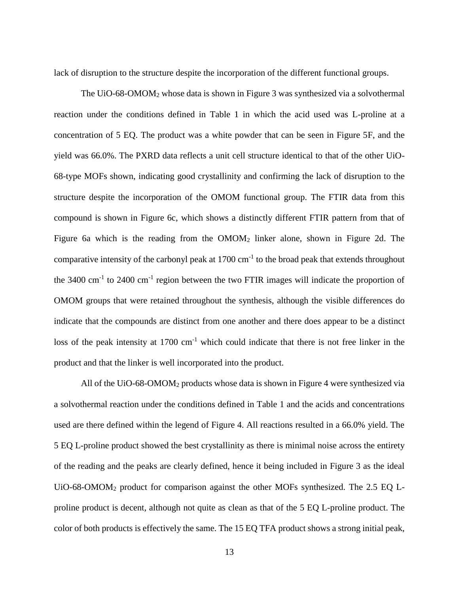lack of disruption to the structure despite the incorporation of the different functional groups.

The UiO-68-OMOM<sup>2</sup> whose data is shown in Figure 3 was synthesized via a solvothermal reaction under the conditions defined in Table 1 in which the acid used was L-proline at a concentration of 5 EQ. The product was a white powder that can be seen in Figure 5F, and the yield was 66.0%. The PXRD data reflects a unit cell structure identical to that of the other UiO-68-type MOFs shown, indicating good crystallinity and confirming the lack of disruption to the structure despite the incorporation of the OMOM functional group. The FTIR data from this compound is shown in Figure 6c, which shows a distinctly different FTIR pattern from that of Figure 6a which is the reading from the OMOM<sup>2</sup> linker alone, shown in Figure 2d. The comparative intensity of the carbonyl peak at  $1700 \text{ cm}^{-1}$  to the broad peak that extends throughout the  $3400 \text{ cm}^{-1}$  to  $2400 \text{ cm}^{-1}$  region between the two FTIR images will indicate the proportion of OMOM groups that were retained throughout the synthesis, although the visible differences do indicate that the compounds are distinct from one another and there does appear to be a distinct loss of the peak intensity at  $1700 \text{ cm}^{-1}$  which could indicate that there is not free linker in the product and that the linker is well incorporated into the product.

All of the UiO-68-OMOM<sup>2</sup> products whose data is shown in Figure 4 were synthesized via a solvothermal reaction under the conditions defined in Table 1 and the acids and concentrations used are there defined within the legend of Figure 4. All reactions resulted in a 66.0% yield. The 5 EQ L-proline product showed the best crystallinity as there is minimal noise across the entirety of the reading and the peaks are clearly defined, hence it being included in Figure 3 as the ideal UiO-68-OMOM<sup>2</sup> product for comparison against the other MOFs synthesized. The 2.5 EQ Lproline product is decent, although not quite as clean as that of the 5 EQ L-proline product. The color of both products is effectively the same. The 15 EQ TFA product shows a strong initial peak,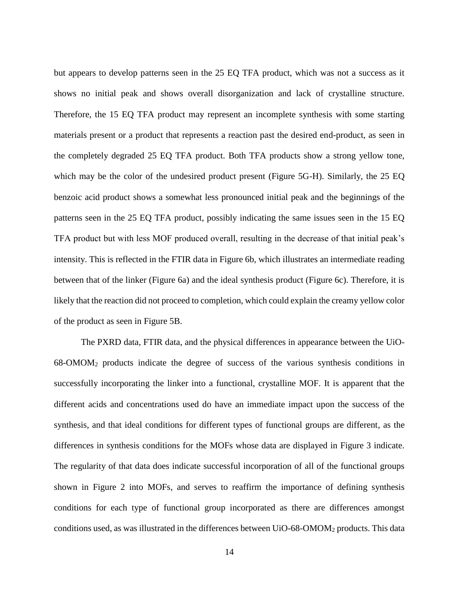but appears to develop patterns seen in the 25 EQ TFA product, which was not a success as it shows no initial peak and shows overall disorganization and lack of crystalline structure. Therefore, the 15 EQ TFA product may represent an incomplete synthesis with some starting materials present or a product that represents a reaction past the desired end-product, as seen in the completely degraded 25 EQ TFA product. Both TFA products show a strong yellow tone, which may be the color of the undesired product present (Figure 5G-H). Similarly, the 25 EQ benzoic acid product shows a somewhat less pronounced initial peak and the beginnings of the patterns seen in the 25 EQ TFA product, possibly indicating the same issues seen in the 15 EQ TFA product but with less MOF produced overall, resulting in the decrease of that initial peak's intensity. This is reflected in the FTIR data in Figure 6b, which illustrates an intermediate reading between that of the linker (Figure 6a) and the ideal synthesis product (Figure 6c). Therefore, it is likely that the reaction did not proceed to completion, which could explain the creamy yellow color of the product as seen in Figure 5B.

The PXRD data, FTIR data, and the physical differences in appearance between the UiO-68-OMOM<sup>2</sup> products indicate the degree of success of the various synthesis conditions in successfully incorporating the linker into a functional, crystalline MOF. It is apparent that the different acids and concentrations used do have an immediate impact upon the success of the synthesis, and that ideal conditions for different types of functional groups are different, as the differences in synthesis conditions for the MOFs whose data are displayed in Figure 3 indicate. The regularity of that data does indicate successful incorporation of all of the functional groups shown in Figure 2 into MOFs, and serves to reaffirm the importance of defining synthesis conditions for each type of functional group incorporated as there are differences amongst conditions used, as was illustrated in the differences between UiO-68-OMOM<sup>2</sup> products. This data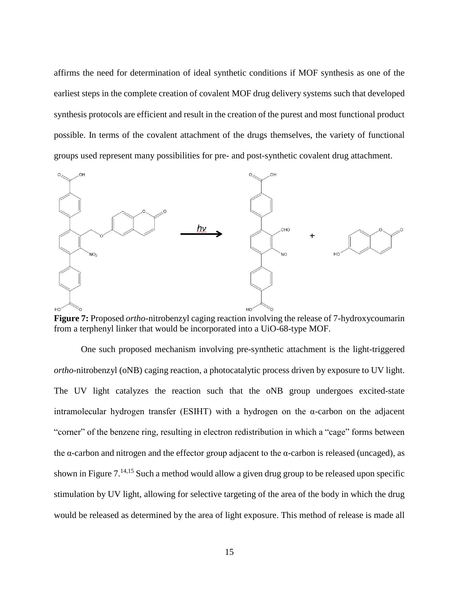affirms the need for determination of ideal synthetic conditions if MOF synthesis as one of the earliest steps in the complete creation of covalent MOF drug delivery systems such that developed synthesis protocols are efficient and result in the creation of the purest and most functional product possible. In terms of the covalent attachment of the drugs themselves, the variety of functional groups used represent many possibilities for pre- and post-synthetic covalent drug attachment.



**Figure 7:** Proposed *ortho*-nitrobenzyl caging reaction involving the release of 7-hydroxycoumarin from a terphenyl linker that would be incorporated into a UiO-68-type MOF.

One such proposed mechanism involving pre-synthetic attachment is the light-triggered *ortho*-nitrobenzyl (oNB) caging reaction, a photocatalytic process driven by exposure to UV light. The UV light catalyzes the reaction such that the oNB group undergoes excited-state intramolecular hydrogen transfer (ESIHT) with a hydrogen on the α-carbon on the adjacent "corner" of the benzene ring, resulting in electron redistribution in which a "cage" forms between the α-carbon and nitrogen and the effector group adjacent to the  $\alpha$ -carbon is released (uncaged), as shown in Figure 7.14,15 Such a method would allow a given drug group to be released upon specific stimulation by UV light, allowing for selective targeting of the area of the body in which the drug would be released as determined by the area of light exposure. This method of release is made all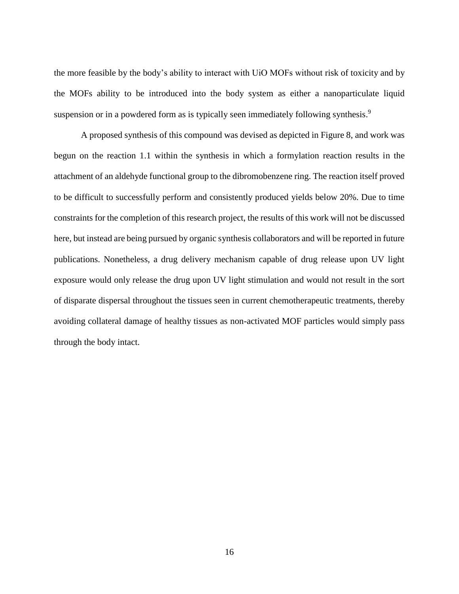the more feasible by the body's ability to interact with UiO MOFs without risk of toxicity and by the MOFs ability to be introduced into the body system as either a nanoparticulate liquid suspension or in a powdered form as is typically seen immediately following synthesis.<sup>9</sup>

A proposed synthesis of this compound was devised as depicted in Figure 8, and work was begun on the reaction 1.1 within the synthesis in which a formylation reaction results in the attachment of an aldehyde functional group to the dibromobenzene ring. The reaction itself proved to be difficult to successfully perform and consistently produced yields below 20%. Due to time constraints for the completion of this research project, the results of this work will not be discussed here, but instead are being pursued by organic synthesis collaborators and will be reported in future publications. Nonetheless, a drug delivery mechanism capable of drug release upon UV light exposure would only release the drug upon UV light stimulation and would not result in the sort of disparate dispersal throughout the tissues seen in current chemotherapeutic treatments, thereby avoiding collateral damage of healthy tissues as non-activated MOF particles would simply pass through the body intact.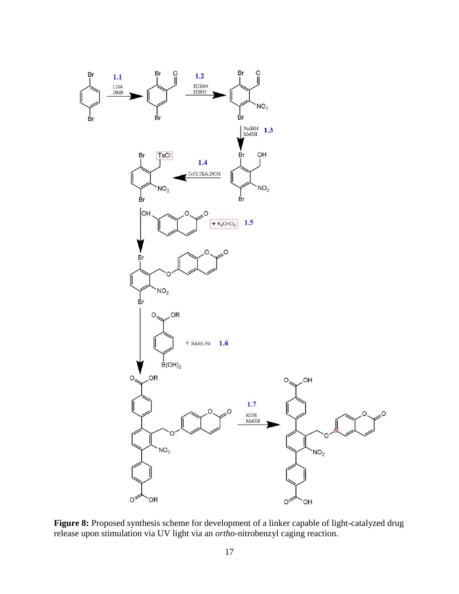

**Figure 8:** Proposed synthesis scheme for development of a linker capable of light-catalyzed drug release upon stimulation via UV light via an *ortho*-nitrobenzyl caging reaction.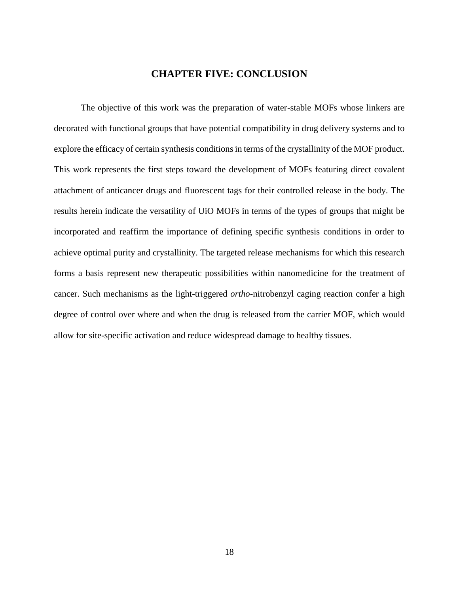#### **CHAPTER FIVE: CONCLUSION**

The objective of this work was the preparation of water-stable MOFs whose linkers are decorated with functional groups that have potential compatibility in drug delivery systems and to explore the efficacy of certain synthesis conditions in terms of the crystallinity of the MOF product. This work represents the first steps toward the development of MOFs featuring direct covalent attachment of anticancer drugs and fluorescent tags for their controlled release in the body. The results herein indicate the versatility of UiO MOFs in terms of the types of groups that might be incorporated and reaffirm the importance of defining specific synthesis conditions in order to achieve optimal purity and crystallinity. The targeted release mechanisms for which this research forms a basis represent new therapeutic possibilities within nanomedicine for the treatment of cancer. Such mechanisms as the light-triggered *ortho*-nitrobenzyl caging reaction confer a high degree of control over where and when the drug is released from the carrier MOF, which would allow for site-specific activation and reduce widespread damage to healthy tissues.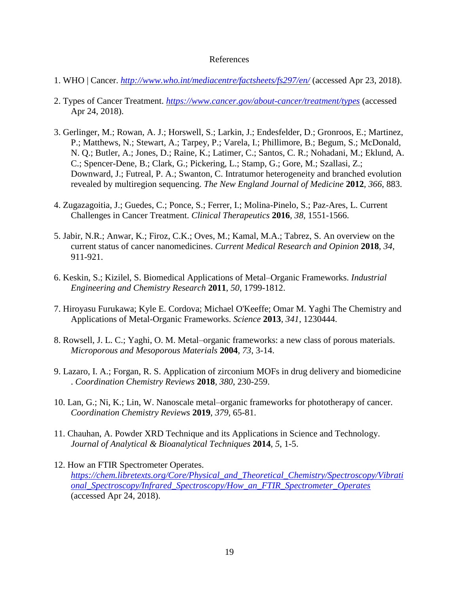#### <span id="page-22-0"></span>References

- 1. WHO | Cancer. *<http://www.who.int/mediacentre/factsheets/fs297/en/>* (accessed Apr 23, 2018).
- 2. Types of Cancer Treatment. *<https://www.cancer.gov/about-cancer/treatment/types>* (accessed Apr 24, 2018).
- 3. Gerlinger, M.; Rowan, A. J.; Horswell, S.; Larkin, J.; Endesfelder, D.; Gronroos, E.; Martinez, P.; Matthews, N.; Stewart, A.; Tarpey, P.; Varela, I.; Phillimore, B.; Begum, S.; McDonald, N. Q.; Butler, A.; Jones, D.; Raine, K.; Latimer, C.; Santos, C. R.; Nohadani, M.; Eklund, A. C.; Spencer-Dene, B.; Clark, G.; Pickering, L.; Stamp, G.; Gore, M.; Szallasi, Z.; Downward, J.; Futreal, P. A.; Swanton, C. Intratumor heterogeneity and branched evolution revealed by multiregion sequencing. *The New England Journal of Medicine* **2012***, 366*, 883.
- 4. Zugazagoitia, J.; Guedes, C.; Ponce, S.; Ferrer, I.; Molina-Pinelo, S.; Paz-Ares, L. Current Challenges in Cancer Treatment. *Clinical Therapeutics* **2016***, 38*, 1551-1566.
- 5. Jabir, N.R.; Anwar, K.; Firoz, C.K.; Oves, M.; Kamal, M.A.; Tabrez, S. An overview on the current status of cancer nanomedicines. *Current Medical Research and Opinion* **2018***, 34*, 911-921.
- 6. Keskin, S.; Kizilel, S. Biomedical Applications of Metal–Organic Frameworks. *Industrial Engineering and Chemistry Research* **2011**, *50*, 1799-1812.
- 7. Hiroyasu Furukawa; Kyle E. Cordova; Michael O'Keeffe; Omar M. Yaghi The Chemistry and Applications of Metal-Organic Frameworks. *Science* **2013***, 341*, 1230444.
- 8. Rowsell, J. L. C.; Yaghi, O. M. Metal–organic frameworks: a new class of porous materials. *Microporous and Mesoporous Materials* **2004***, 73*, 3-14.
- 9. Lazaro, I. A.; Forgan, R. S. Application of zirconium MOFs in drug delivery and biomedicine . *Coordination Chemistry Reviews* **2018***, 380*, 230-259.
- 10. Lan, G.; Ni, K.; Lin, W. Nanoscale metal–organic frameworks for phototherapy of cancer. *Coordination Chemistry Reviews* **2019**, *379*, 65-81.
- 11. Chauhan, A. Powder XRD Technique and its Applications in Science and Technology. *Journal of Analytical & Bioanalytical Techniques* **2014***, 5*, 1-5.
- 12. How an FTIR Spectrometer Operates. *[https://chem.libretexts.org/Core/Physical\\_and\\_Theoretical\\_Chemistry/Spectroscopy/Vibrati](https://chem.libretexts.org/Core/Physical_and_Theoretical_Chemistry/Spectroscopy/Vibrational_Spectroscopy/Infrared_Spectroscopy/How_an_FTIR_Spectrometer_Operates) [onal\\_Spectroscopy/Infrared\\_Spectroscopy/How\\_an\\_FTIR\\_Spectrometer\\_Operates](https://chem.libretexts.org/Core/Physical_and_Theoretical_Chemistry/Spectroscopy/Vibrational_Spectroscopy/Infrared_Spectroscopy/How_an_FTIR_Spectrometer_Operates)* (accessed Apr 24, 2018).